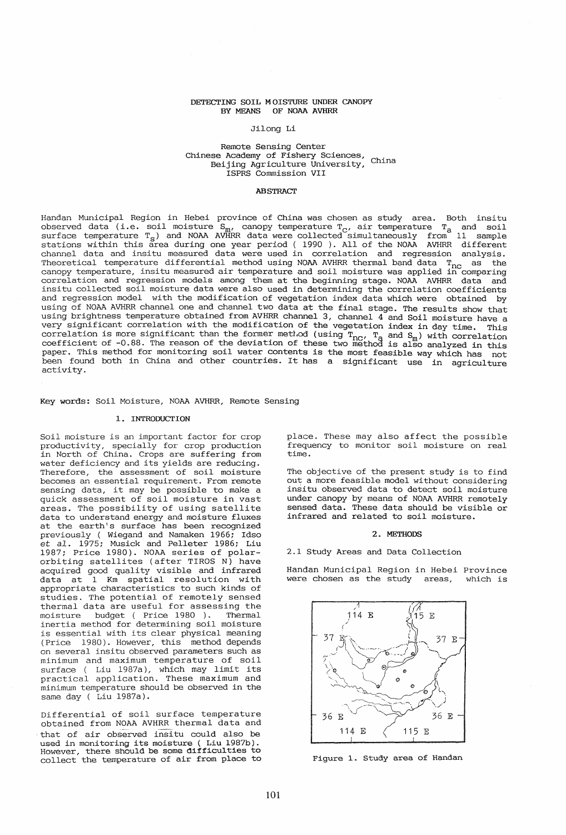# DETECTING SOIL MOISTURE UNDER CANOPY BY MEANS OF NOAA AVHRR

## Jilong Li

# Remote Sensing Center Kellote Sensing Converts<br>Chinese Academy of Fishery Sciences, China Beijing Agriculture University, ISPRS Commission VII

### **ABSTRACT**

Handan Municipal Region in Hebei province of China was chosen as study area. Both insitu observed data (i.e. soil moisture  $S_m$ , canopy temperature  $T_c$ , air temperature  $T_a$  and soil surface temperature  $T_S$ ) and NOAA AVHRR data were collected simultaneously from 11 sample stations within this area during one year period ( 1990 ). All of the NOAA AVHRR different channel data and insitu measured data were used in correlation and regression analysis. Theoretical temperature differential method using NOAA AVHRR thermal band data T<sub>nc</sub> as the canopy temperature, insitu measured air temperature and soil moisture was applied in comparing correlation and regression models among them at the beginning stage. NOAA AVHRR data and insitu collected soil moisture data were also used in determining the correlation coefficients and regression model with the modification of vegetation index data which were obtained by using of NOAA AVHRR channel one and channel two data at the final stage. The results show that using brightness temperature obtained from AVHRR channel 3, channel 4 and Soil moisture have a very significant correlation with the modification of the vegetation index in day time. This correlation is more significant than the former method (using  $T_{\text{nc}}$ ,  $T_{\text{a}}$  and  $S_{\text{m}}$ ) with correlation coefficient of -0.88. The reason of the deviation of these two method is also analyzed in this paper. This method for monitoring soil water contents is the most feasible way which has not been found both in China and other countries. It has a significant use in agriculture activity.

### Key words: Soil Moisture, NOAA AVHRR, Remote Sensing

### 1. INTRODUCTION

Soil moisture is an important factor for crop productivity, specially for crop production in North of China. Crops are suffering from water deficiency and its yields are reducing. Therefore, the assessment of soil moisture becomes an essential requirement. From remote becomes an essential requirement. From remote<br>sensing data, it may be possible to make a quick assessment of soil moisture in vast areas. The possibility of using satellite data to understand energy and moisture fluxes at the earth's surface has been recognized previously ( Wiegand and Namaken 1966; Idso et a1. 1975; Musick and Pelleter 1986; Liu 1987; Price 1980). NOAA series of polarorbiting satellites (after TIROS N) have acquired good quality visible and infrared data at 1 Km spatial resolution with appropriate characteristics to such kinds of studies. The potential of remotely sensed thermal data are useful for assessing the<br>moisture budget ( Price 1980 ). Thermal moisture budget ( Price 1980 ). inertia method for determining soil moisture is essential with its clear physical meaning (Price 1980). However, this method depends on several insitu observed parameters such as minimum and maximum temperature of soil surface ( Liu 1987a), which may limit its practical application. These maximum and minimum temperature should be observed in the same day ( Liu 1987a).

Differential of soil surface temperature obtained from NOAA AVHRR thermal data and that of air observed insitu could also be used in monitoring its moisture ( Liu 1987b). However, there should be some difficulties to collect the temperature of air from place to place. These may also affect the possible frequency to monitor soil moisture on real time.

The objective of the present study is to find out a more feasible model without considering insitu observed data to detect soil moisture under canopy by means of NOAA AVHRR remotely sensed data. These data should be visible or infrared and related to soil moisture.

#### 2. METHODS

2.1 Study Areas and Data Collection

Handan Municipal Region in Hebei Province were chosen as the study areas,



Figure 1. Study area of Handan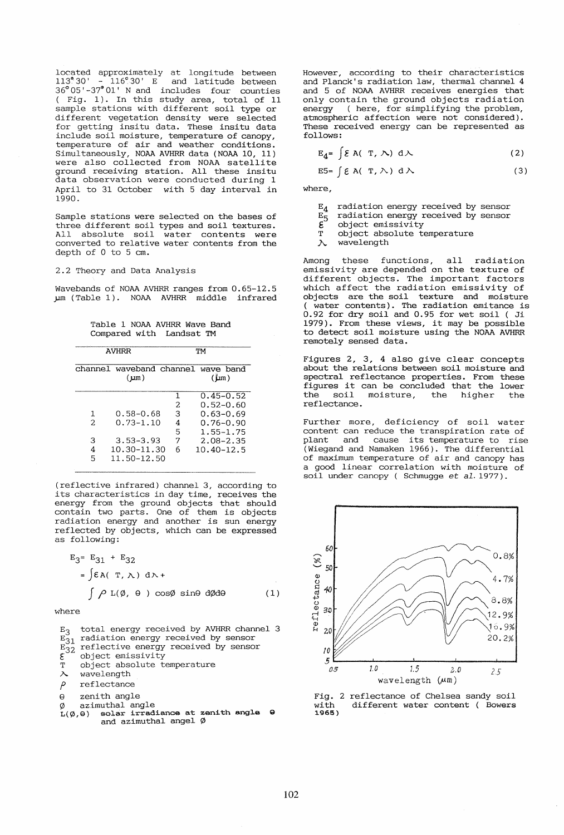located approximately at longitude between 113°30' - 116°30' E and latitude between 36°05'-37G Ol' N and includes four counties ( Fig. 1). In this study area, total of 11 sample stations with different soil type or different vegetation density were selected for getting insitu data. These insitu data include soil moisture, temperature of canopy, temperature of air and weather conditions. Simultaneously, NOAA AVHRR data (NOAA 10, 11) were also collected from NOAA satellite ground receiving station. All these insitu data observation were conducted during 1 April to 31 October with 5 day interval in 1990.

Sample stations were selected on the bases of three different soil types and soil textures. All absolute soil water contents were converted to relative water contents from the depth of 0 to 5 cm.

# 2.2 Theory and Data Analysis

Wavebands of NOAA AVHRR ranges from 0.65-12.5 µm (Table 1). NOAA AVHRR middle infrared

Table 1 NOAA AVHRR Wave Band Compared with Landsat TM

| <b>AVHRR</b>                                    |                                                                               |                            | TМ                                                                                                               |
|-------------------------------------------------|-------------------------------------------------------------------------------|----------------------------|------------------------------------------------------------------------------------------------------------------|
|                                                 | (um)                                                                          |                            | channel waveband channel wave band<br>$(\mathbf{L}m)$                                                            |
| 1<br>$\mathcal{D}_{\mathcal{L}}$<br>З<br>4<br>5 | $0.58 - 0.68$<br>$0.73 - 1.10$<br>$3.53 - 3.93$<br>10.30-11.30<br>11.50-12.50 | 2<br>З<br>4<br>5<br>7<br>6 | $0.45 - 0.52$<br>$0.52 - 0.60$<br>$0.63 - 0.69$<br>$0.76 - 0.90$<br>1.55–1.75<br>$2.08 - 2.35$<br>$10.40 - 12.5$ |

(reflective infrared) channel 3, according to its characteristics in day time, receives the energy from the ground objects that should contain two parts. One of them is objects radiation energy and another is sun energy reflected by objects, which can be expressed as following:

$$
E_3 = E_{31} + E_{32}
$$
  
=  $\int \mathcal{E}A(T, \lambda) d\lambda +$   
 $\int \rho L(\emptyset, \theta) cos\emptyset sin\theta d\emptyset d\theta$  (1)

where

 $E_3$ total energy received by AVHRR channel 3  $E_{31}$  radiation energy received by sensor  $E_{32}$  reflective energy received by sensor ε object emissivity T object absolute temperature  $\lambda$ wavelength  $\rho$ reflectance e zenith angle  $\varnothing$  azimuthal angle<br> $L(\varnothing,\Theta)$  solar irrad: solar irradiance at zenith angle  $\Theta$ and azimuthal angel  $\emptyset$ 

However, according to their characteristics and Planck's radiation law, thermal channel 4 and 5 of NOAA AVHRR receives energies that only contain the ground objects radiation energy ( here, for simplifying the problem, atmospheric affection were not considered). These received energy can be represented as follows:

$$
E_4 = \int \mathcal{E} A(T, \Lambda) d\Lambda
$$
 (2)

$$
E5 = \int \mathcal{E} A(T, \wedge) d\wedge \tag{3}
$$

where,

- $\mathbb{E}_4$  radiation energy received by sensor  $\mathbb{E}_\mathsf{c}$  radiation energy received by sensor
- $E_5^-$  radiation energy received by sensor<br>  $\boldsymbol{\xi}$  object emissivity
- $\mathbf{E}^{\sim}$  object emissivity<br>T object absolute to
- object absolute temperature

 $\lambda$  wavelength

Among these functions, all radiation emissivity are depended on the texture of different objects. The important factors which affect the radiation emissivity of objects are the soil texture and moisture water contents). The radiation emitance is 0.92 for dry soil and 0.95 for wet soil ( Ji 0.92 for dry Solf and 0.95 for wet Solf (31<br>1979). From these views, it may be possible to detect soil moisture using the NOAA AVHRR remotely sensed data.

Figures 2, 3, 4 also give clear concepts about the relations between soil moisture and spectral reflectance properties. From these spectral feriectance properties. From these<br>figures it can be concluded that the lower the soil moisture, the higher the the soil moisture,<br>reflectance.

Further more, deficiency of soil water content can reduce the transpiration rate of<br>plant and cause its temperature to rise cause its temperature to rise (Wiegand and Namaken 1966). The differential of maximum temperature of air and canopy has a good linear correlation with moisture of soil under canopy ( Schmugge et al. 1977).



Fig. 2 reflectance of Chelsea sandy soil<br>with different water content (Bowers different water content ( Bowers 1.965)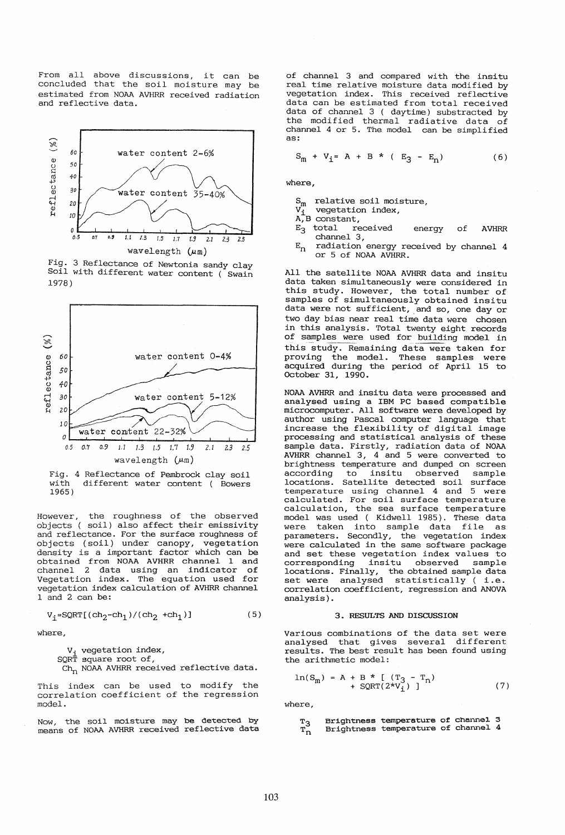From all above discussions, it can be concluded that the soil moisture may be estimated from NOAA AVHRR received radiation and reflective data.



Fig. 3 Reflectance of Newtonia sandy clay Soil with different water content (Swain 1978)



Fig. 4 Reflectance of Pembrock clay soil<br>with different water content ( Bowers different water content ( Bowers 1965)

However, the roughness of the observed objects ( soil) also affect their emissivity and reflectance. For the surface roughness of objects (soil) under canopy, vegetation density is a important factor which can be obtained from NOAA AVHRR channel 1 and channel 2 data using an indicator of Vegetation index. The equation used for vegetation index calculation of AVHRR channel 1 and 2 can be:

$$
\verb|v_j=SQRT[(\verb|ch_2-ch_1)/(\verb|ch_2 +\verb|ch_1|)]| \qquad \qquad (5)
$$

where,

V<sub>i</sub> vegetation index,

SQRT square root of,

 $Ch_n$  NOAA AVHRR received reflective data.

This index can be used to modify the correlation coefficient of the regression model.

Now, the soil moisture may be detected by means of NOAA AVHRR received reflective data of channel 3 and compared with the insitu real time relative moisture data modified by vegetation index. This received reflective data can be estimated from total received data of channel 3 ( daytime) substracted by the modified thermal radiative data of channel 4 or 5. The model can be simplified as:

$$
S_m + V_i = A + B * (E_3 - E_n)
$$
 (6)

where,

 $S_m$  relative soil moisture,<br>v. vegetation index,

vegetation index,

- $A, B$  constant,<br> $E_3$  total received  $E_3$  total received energy channel 3, of AVHRR
- $E_n$  radiation energy received by channel 4 or 5 of NOAA AVHRR.

All the satellite NOAA AVHRR data and insitu data taken simultaneously were considered in this study. However, the total number of samples of simultaneously obtained insitu data were not sufficient, and so, one day or two day bias near real time data were chosen in this analysis. Total twenty eight records of samples were used for building model in this study. Remaining data were taken for proving the model. These samples were acquired during the period of April 15 to October 31, 1990.

NOAA AVHRR and insitu data were processed and analysed using a IBM PC based compatible microcomputer. All software were developed by author using Pascal computer language that increase the flexibility of digital image processing and statistical analysis of these sample data. Firstly, radiation data of NOAA AVHRR channel  $3, 4$  and  $5$  were converted to brightness temperature and dumped on screen<br>according to insitu observed sample to insitu observed locations. Satellite detected soil surface temperature using channel 4 and 5 were calculated. For soil surface temperature calculation, the sea surface temperature model was used ( Kidwell 1985). These data were taken into sample data file as parameters. Secondly, the vegetation index were calculated in the same software package and set these vegetation index values to corresponding insitu observed sample locations. Finally, the obtained sample data set were analysed statistically ( i.e. correlation coefficient, regression and ANOVA analysis) .

## 3. RESULTS AND DISCUSSION

Various combinations of the data set were<br>analysed that gives several different that gives several different results. The best result has been found using the arithmetic model:

$$
\ln(S_m) = A + B * [(T_3 - T_n) + SQRT(2*V_1)]
$$
\n(7)

where,

| $\frac{T_3}{T_n}$ | Brightness temperature of channel 3<br>Brightness temperature of channel 4 |  |  |
|-------------------|----------------------------------------------------------------------------|--|--|
|                   |                                                                            |  |  |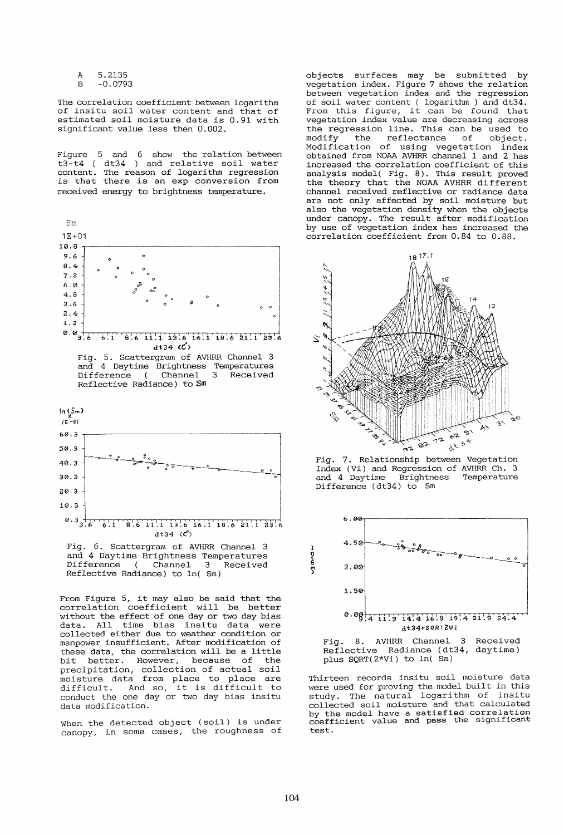A 5.2135 B -0.0793

The correlation coefficient between logarithm of insitu soil water content and that of estimated soil moisture data is 0.91 with significant value less then 0.002.

Figure 5 and 6 show the relation between  $t3-t4$ content. is that received energy to brightness temperature. dt34 ) and relative soil water The reason of logarithm regression there is an exp conversion from



Fig. 6. Scattergram of AVHRR Channel 3 and 4 Daytime Brightness Temperatures Difference ( Channel 3 Received Difference ( Channel 3 Received<br>Reflective Radiance) to  $ln($  Sm)

From Figure 5, it may also be said that the correlation coefficient will be better without the effect of one day or two day bias data. All time bias insitu data were collected either due to weather condition or manpower insufficient. After modification of these data, the correlation will be a little<br>bit better. However, because of the better. However, because of the precipitation, collection of actual soil moisture data from place to place are difficult. And so, it is difficult to conduct the one day or two day bias insitu data modification.

When the detected object (soil) is under canopy, in some cases, the roughness of

objects surfaces may be submitted by vegetation index. Figure 7 shows the relation between vegetation index and the regression of soil water content ( logarithm) and dt34. From this figure, it can be found that vegetation index value are decreasing across the regression line. This can be used to modify the reflectance of object. modify the reflectance of object.<br>Modification of using vegetation index obtained from NOAA AVHRR channel 1 and 2 has increased the correlation coefficient of this analysis model( Fig. 8). This result proved the theory that the NOAA AVHRR different channel received reflective or radiance data ara not only affected by soil moisture but also the vegetation density when the objects under canopy. The result after modification by use of vegetation index has increased the correlation coefficient from 0.84 to 0.88.



Index (Vi) and Regression of AVHRR Ch. 3 and 4 Daytime Brightness Temperature Difference (dt34) to Sm



Fig. 8. AVHRR Channel 3 Received Reflective Radiance (dt34, daytime) plus SQRT(2\*Vi) to In( Sm)

Thirteen records insitu soil moisture data were used for proving the model built in this were used for proving one measurement on the collected soil moisture and that calculated by the model have a satisfied correlation coefficient value and pass the significant test.